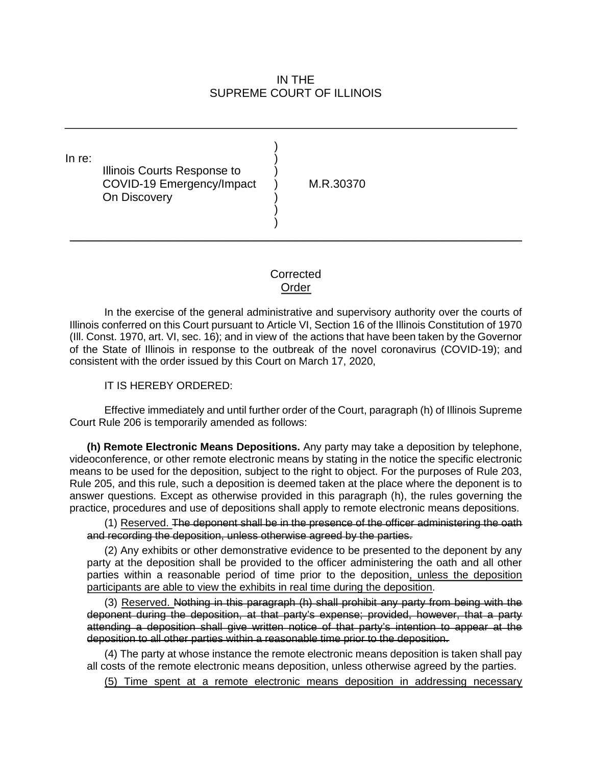## IN THE SUPREME COURT OF ILLINOIS

In re: ) ) Illinois Courts Response to ) COVID-19 Emergency/Impact ) M.R.30370 On Discovery ) )

## **Corrected** Order

 (Ill. Const. 1970, art. VI, sec. 16); and in view of the actions that have been taken by the Governor consistent with the order issued by this Court on March 17, 2020, In the exercise of the general administrative and supervisory authority over the courts of Illinois conferred on this Court pursuant to Article VI, Section 16 of the Illinois Constitution of 1970 of the State of Illinois in response to the outbreak of the novel coronavirus (COVID-19); and

## IT IS HEREBY ORDERED:

IT IS HEREBY ORDERED:<br>Effective immediately and until further order of the Court, paragraph (h) of Illinois Supreme Court Rule 206 is temporarily amended as follows:

 **(h) Remote Electronic Means Depositions.** Any party may take a deposition by telephone, Rule 205, and this rule, such a deposition is deemed taken at the place where the deponent is to answer questions. Except as otherwise provided in this paragraph (h), the rules governing the videoconference, or other remote electronic means by stating in the notice the specific electronic means to be used for the deposition, subject to the right to object. For the purposes of Rule 203, practice, procedures and use of depositions shall apply to remote electronic means depositions.

 and recording the deposition, unless otherwise agreed by the parties. (1) Reserved. The deponent shall be in the presence of the officer administering the oath

 (2) Any exhibits or other demonstrative evidence to be presented to the deponent by any party at the deposition shall be provided to the officer administering the oath and all other parties within a reasonable period of time prior to the deposition, unless the deposition participants are able to view the exhibits in real time during the deposition.

 (3) Reserved. Nothing in this paragraph (h) shall prohibit any party from being with the deponent during the deposition, at that party's expense; provided, however, that a party attending a deposition shall give written notice of that party's intention to appear at the deposition to all other parties within a reasonable time prior to the deposition.

(4) The party at whose instance the remote electronic means deposition is taken shall pay all costs of the remote electronic means deposition, unless otherwise agreed by the parties.

(5) Time spent at a remote electronic means deposition in addressing necessary